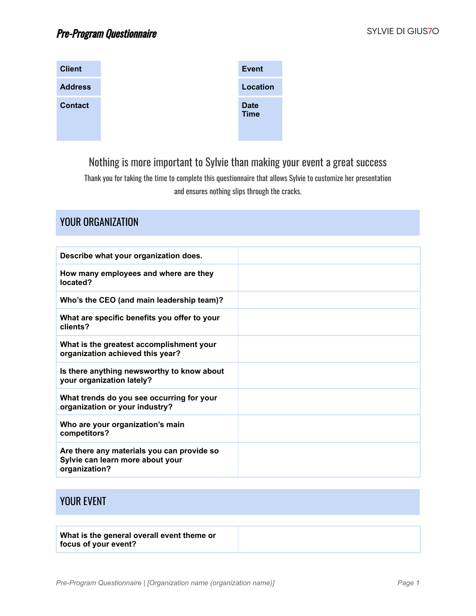YOUR ORGANIZATION

| <b>Client</b>  | <b>Event</b>               |
|----------------|----------------------------|
| <b>Address</b> | <b>Location</b>            |
| <b>Contact</b> | <b>Date</b><br><b>Time</b> |

#### Nothing is more important to Sylvie than making your event a great success

Thank you for taking the time to complete this questionnaire that allows Sylvie to customize her presentation and ensures nothing slips through the cracks.

| Describe what your organization does.                                                           |  |
|-------------------------------------------------------------------------------------------------|--|
| How many employees and where are they<br>located?                                               |  |
| Who's the CEO (and main leadership team)?                                                       |  |
| What are specific benefits you offer to your<br>clients?                                        |  |
| What is the greatest accomplishment your<br>organization achieved this year?                    |  |
| Is there anything newsworthy to know about<br>your organization lately?                         |  |
| What trends do you see occurring for your<br>organization or your industry?                     |  |
| Who are your organization's main<br>competitors?                                                |  |
| Are there any materials you can provide so<br>Sylvie can learn more about your<br>organization? |  |

#### YOUR EVENT

**What is the general overall event theme or focus of your event?**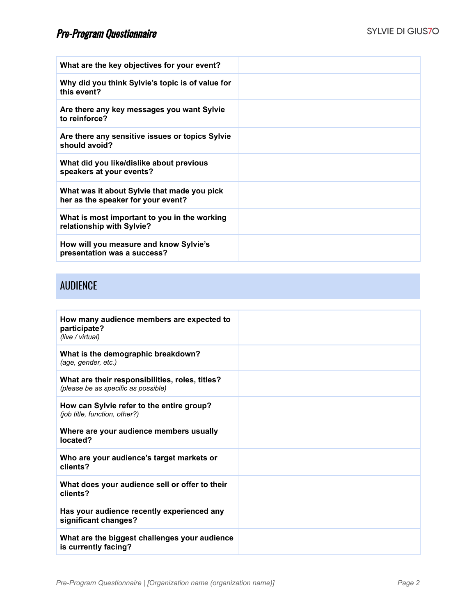| What are the key objectives for your event?                                       |  |
|-----------------------------------------------------------------------------------|--|
| Why did you think Sylvie's topic is of value for<br>this event?                   |  |
| Are there any key messages you want Sylvie<br>to reinforce?                       |  |
| Are there any sensitive issues or topics Sylvie<br>should avoid?                  |  |
| What did you like/dislike about previous<br>speakers at your events?              |  |
| What was it about Sylvie that made you pick<br>her as the speaker for your event? |  |
| What is most important to you in the working<br>relationship with Sylvie?         |  |
| How will you measure and know Sylvie's<br>presentation was a success?             |  |

### AUDIENCE

| How many audience members are expected to<br>participate?<br>(live / virtual)          |  |
|----------------------------------------------------------------------------------------|--|
| What is the demographic breakdown?<br>(age, gender, etc.)                              |  |
| What are their responsibilities, roles, titles?<br>(please be as specific as possible) |  |
| How can Sylvie refer to the entire group?<br>(job title, function, other?)             |  |
| Where are your audience members usually<br>located?                                    |  |
| Who are your audience's target markets or<br>clients?                                  |  |
| What does your audience sell or offer to their<br>clients?                             |  |
| Has your audience recently experienced any<br>significant changes?                     |  |
| What are the biggest challenges your audience<br>is currently facing?                  |  |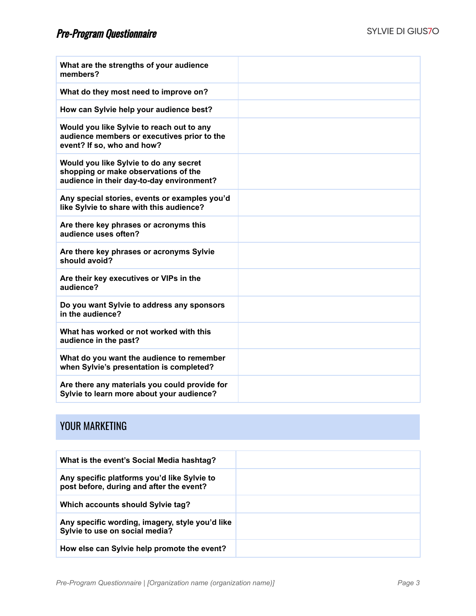| What are the strengths of your audience<br>members?                                                                         |  |
|-----------------------------------------------------------------------------------------------------------------------------|--|
| What do they most need to improve on?                                                                                       |  |
| How can Sylvie help your audience best?                                                                                     |  |
| Would you like Sylvie to reach out to any<br>audience members or executives prior to the<br>event? If so, who and how?      |  |
| Would you like Sylvie to do any secret<br>shopping or make observations of the<br>audience in their day-to-day environment? |  |
| Any special stories, events or examples you'd<br>like Sylvie to share with this audience?                                   |  |
| Are there key phrases or acronyms this<br>audience uses often?                                                              |  |
| Are there key phrases or acronyms Sylvie<br>should avoid?                                                                   |  |
| Are their key executives or VIPs in the<br>audience?                                                                        |  |
| Do you want Sylvie to address any sponsors<br>in the audience?                                                              |  |
| What has worked or not worked with this<br>audience in the past?                                                            |  |
| What do you want the audience to remember<br>when Sylvie's presentation is completed?                                       |  |
| Are there any materials you could provide for<br>Sylvie to learn more about your audience?                                  |  |

### YOUR MARKETING

| What is the event's Social Media hashtag?                                               |  |
|-----------------------------------------------------------------------------------------|--|
| Any specific platforms you'd like Sylvie to<br>post before, during and after the event? |  |
| Which accounts should Sylvie tag?                                                       |  |
| Any specific wording, imagery, style you'd like<br>Sylvie to use on social media?       |  |
| How else can Sylvie help promote the event?                                             |  |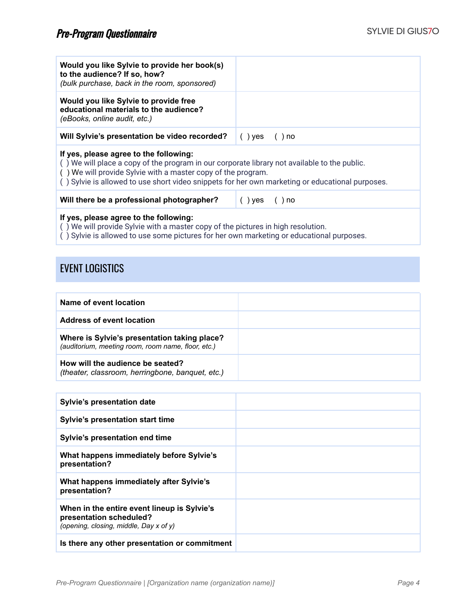| Would you like Sylvie to provide her book(s)<br>to the audience? If so, how?<br>(bulk purchase, back in the room, sponsored)                                                                                                                                                                              |                      |  |
|-----------------------------------------------------------------------------------------------------------------------------------------------------------------------------------------------------------------------------------------------------------------------------------------------------------|----------------------|--|
| Would you like Sylvie to provide free<br>educational materials to the audience?<br>(eBooks, online audit, etc.)                                                                                                                                                                                           |                      |  |
| Will Sylvie's presentation be video recorded?                                                                                                                                                                                                                                                             | $()$ yes<br>$()$ no  |  |
| If yes, please agree to the following:<br>() We will place a copy of the program in our corporate library not available to the public.<br>() We will provide Sylvie with a master copy of the program.<br>() Sylvie is allowed to use short video snippets for her own marketing or educational purposes. |                      |  |
| Will there be a professional photographer?                                                                                                                                                                                                                                                                | $()$ yes<br>$( )$ no |  |
| If yes, please agree to the following:<br>() We will provide Sylvie with a master copy of the pictures in high resolution.<br>() Sylvie is allowed to use some pictures for her own marketing or educational purposes.                                                                                    |                      |  |

#### EVENT LOGISTICS

| Name of event location                                                                             |  |
|----------------------------------------------------------------------------------------------------|--|
| <b>Address of event location</b>                                                                   |  |
| Where is Sylvie's presentation taking place?<br>(auditorium, meeting room, room name, floor, etc.) |  |
| How will the audience be seated?<br>(theater, classroom, herringbone, banquet, etc.)               |  |

| <b>Sylvie's presentation date</b>                                                                                |  |
|------------------------------------------------------------------------------------------------------------------|--|
| Sylvie's presentation start time                                                                                 |  |
| Sylvie's presentation end time                                                                                   |  |
| What happens immediately before Sylvie's<br>presentation?                                                        |  |
| What happens immediately after Sylvie's<br>presentation?                                                         |  |
| When in the entire event lineup is Sylvie's<br>presentation scheduled?<br>(opening, closing, middle, Day x of y) |  |
| Is there any other presentation or commitment                                                                    |  |